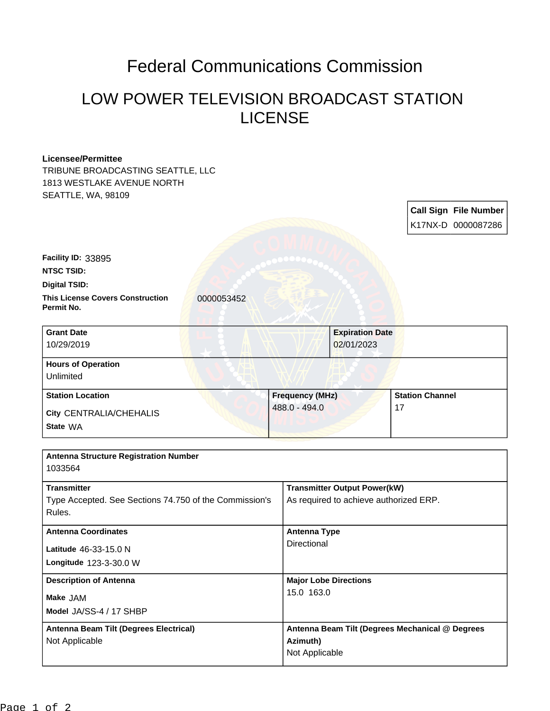## Federal Communications Commission

## LOW POWER TELEVISION BROADCAST STATION LICENSE

## **Licensee/Permittee**

**Facility ID:** 33895

TRIBUNE BROADCASTING SEATTLE, LLC 1813 WESTLAKE AVENUE NORTH SEATTLE, WA, 98109

> **Call Sign File Number** K17NX-D 0000087286

| <b>NTSC TSID:</b>                                     |  |
|-------------------------------------------------------|--|
| <b>Digital TSID:</b>                                  |  |
| <b>This License Covers Construction</b><br>Permit No. |  |

**This License Covers Construction** 0000053452

| <b>Grant Date</b><br>10/29/2019        | <b>Expiration Date</b><br>02/01/2023 |                        |
|----------------------------------------|--------------------------------------|------------------------|
| <b>Hours of Operation</b><br>Unlimited |                                      |                        |
| <b>Station Location</b>                | <b>Frequency (MHz)</b>               | <b>Station Channel</b> |
| City CENTRALIA/CHEHALIS<br>State WA    | 488.0 - 494.0                        | 17                     |

| <b>Antenna Structure Registration Number</b><br>1033564                                |                                                                               |
|----------------------------------------------------------------------------------------|-------------------------------------------------------------------------------|
| <b>Transmitter</b><br>Type Accepted. See Sections 74.750 of the Commission's<br>Rules. | <b>Transmitter Output Power(kW)</b><br>As required to achieve authorized ERP. |
| <b>Antenna Coordinates</b><br>Latitude 46-33-15.0 N<br>Longitude 123-3-30.0 W          | <b>Antenna Type</b><br>Directional                                            |
| <b>Description of Antenna</b><br>Make JAM<br>Model JA/SS-4 / 17 SHBP                   | <b>Major Lobe Directions</b><br>15.0 163.0                                    |
| Antenna Beam Tilt (Degrees Electrical)<br>Not Applicable                               | Antenna Beam Tilt (Degrees Mechanical @ Degrees<br>Azimuth)<br>Not Applicable |